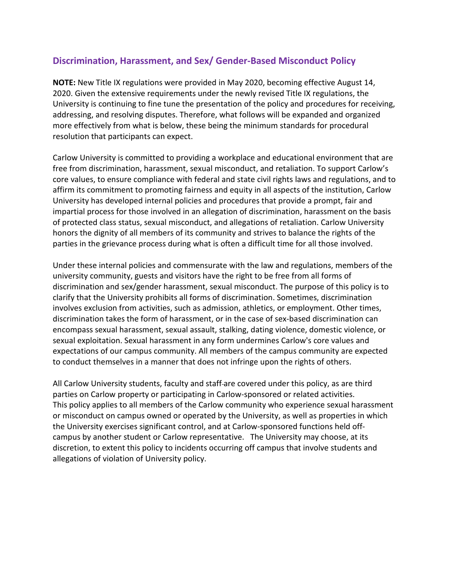# **Discrimination, Harassment, and Sex/ Gender-Based Misconduct Policy**

**NOTE:** New Title IX regulations were provided in May 2020, becoming effective August 14, 2020. Given the extensive requirements under the newly revised Title IX regulations, the University is continuing to fine tune the presentation of the policy and procedures for receiving, addressing, and resolving disputes. Therefore, what follows will be expanded and organized more effectively from what is below, these being the minimum standards for procedural resolution that participants can expect.

Carlow University is committed to providing a workplace and educational environment that are free from discrimination, harassment, sexual misconduct, and retaliation. To support Carlow's core values, to ensure compliance with federal and state civil rights laws and regulations, and to affirm its commitment to promoting fairness and equity in all aspects of the institution, Carlow University has developed internal policies and procedures that provide a prompt, fair and impartial process for those involved in an allegation of discrimination, harassment on the basis of protected class status, sexual misconduct, and allegations of retaliation. Carlow University honors the dignity of all members of its community and strives to balance the rights of the parties in the grievance process during what is often a difficult time for all those involved.

Under these internal policies and commensurate with the law and regulations, members of the university community, guests and visitors have the right to be free from all forms of discrimination and sex/gender harassment, sexual misconduct. The purpose of this policy is to clarify that the University prohibits all forms of discrimination. Sometimes, discrimination involves exclusion from activities, such as admission, athletics, or employment. Other times, discrimination takes the form of harassment, or in the case of sex-based discrimination can encompass sexual harassment, sexual assault, stalking, dating violence, domestic violence, or sexual exploitation. Sexual harassment in any form undermines Carlow's core values and expectations of our campus community. All members of the campus community are expected to conduct themselves in a manner that does not infringe upon the rights of others.

All Carlow University students, faculty and staff-are covered under this policy, as are third parties on Carlow property or participating in Carlow-sponsored or related activities. This policy applies to all members of the Carlow community who experience sexual harassment or misconduct on campus owned or operated by the University, as well as properties in which the University exercises significant control, and at Carlow-sponsored functions held offcampus by another student or Carlow representative. The University may choose, at its discretion, to extent this policy to incidents occurring off campus that involve students and allegations of violation of University policy.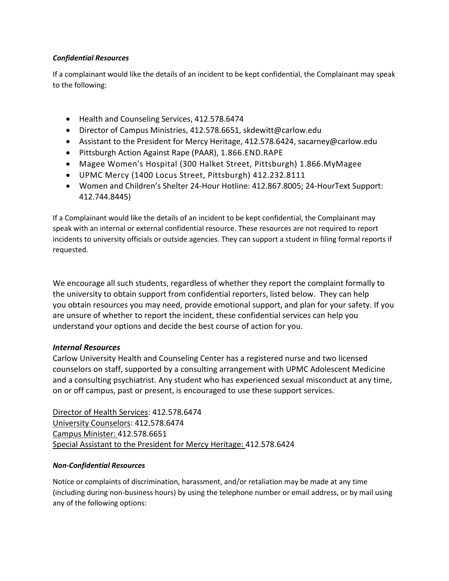# *Confidential Resources*

If a complainant would like the details of an incident to be kept confidential, the Complainant may speak to the following:

- Health and Counseling Services, 412.578.6474
- Director of Campus Ministries, 412.578.6651, skdewitt@carlow.edu
- Assistant to the President for Mercy Heritage, 412.578.6424, sacarney@carlow.edu
- Pittsburgh Action Against Rape (PAAR), 1.866.END.RAPE
- Magee Women's Hospital (300 Halket Street, Pittsburgh) 1.866.MyMagee
- UPMC Mercy (1400 Locus Street, Pittsburgh) 412.232.8111
- Women and Children's Shelter 24-Hour Hotline: 412.867.8005; 24-HourText Support: 412.744.8445)

If a Complainant would like the details of an incident to be kept confidential, the Complainant may speak with an internal or external confidential resource. These resources are not required to report incidents to university officials or outside agencies. They can support a student in filing formal reports if requested.

We encourage all such students, regardless of whether they report the complaint formally to the university to obtain support from confidential reporters, listed below. They can help you obtain resources you may need, provide emotional support, and plan for your safety. If you are unsure of whether to report the incident, these confidential services can help you understand your options and decide the best course of action for you.

# *Internal Resources*

Carlow University Health and Counseling Center has a registered nurse and two licensed counselors on staff, supported by a consulting arrangement with UPMC Adolescent Medicine and a consulting psychiatrist. Any student who has experienced sexual misconduct at any time, on or off campus, past or present, is encouraged to use these support services.

Director of Health Services: 412.578.6474 University Counselors: 412.578.6474 Campus Minister: 412.578.6651 Special Assistant to the President for Mercy Heritage: 412.578.6424

# *Non-Confidential Resources*

Notice or complaints of discrimination, harassment, and/or retaliation may be made at any time (including during non-business hours) by using the telephone number or email address, or by mail using any of the following options: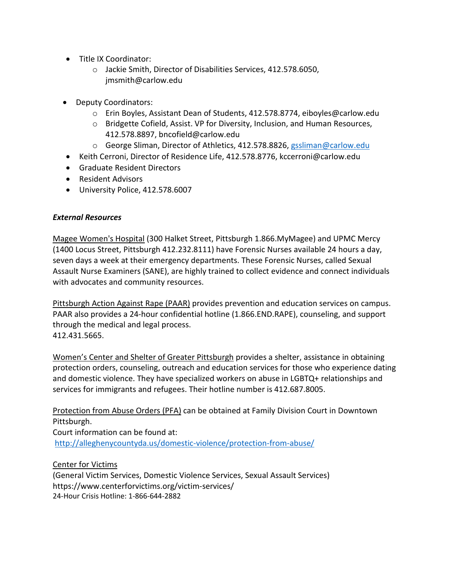- Title IX Coordinator:
	- o Jackie Smith, Director of Disabilities Services, 412.578.6050, jmsmith@carlow.edu
- Deputy Coordinators:
	- o Erin Boyles, Assistant Dean of Students, 412.578.8774, eiboyles@carlow.edu
	- o Bridgette Cofield, Assist. VP for Diversity, Inclusion, and Human Resources, 412.578.8897, bncofield@carlow.edu
	- o George Sliman, Director of Athletics, 412.578.8826, [gssliman@carlow.edu](mailto:gssliman@carlow.edu)
- Keith Cerroni, Director of Residence Life, 412.578.8776, kccerroni@carlow.edu
- Graduate Resident Directors
- Resident Advisors
- University Police, 412.578.6007

# *External Resources*

Magee Women's Hospital (300 Halket Street, Pittsburgh 1.866.MyMagee) and UPMC Mercy (1400 Locus Street, Pittsburgh 412.232.8111) have Forensic Nurses available 24 hours a day, seven days a week at their emergency departments. These Forensic Nurses, called Sexual Assault Nurse Examiners (SANE), are highly trained to collect evidence and connect individuals with advocates and community resources.

Pittsburgh Action Against Rape (PAAR) provides prevention and education services on campus. PAAR also provides a 24-hour confidential hotline (1.866.END.RAPE), counseling, and support through the medical and legal process. 412.431.5665.

Women's Center and Shelter of Greater Pittsburgh provides a shelter, assistance in obtaining protection orders, counseling, outreach and education services for those who experience dating and domestic violence. They have specialized workers on abuse in LGBTQ+ relationships and services for immigrants and refugees. Their hotline number is 412.687.8005.

Protection from Abuse Orders (PFA) can be obtained at Family Division Court in Downtown Pittsburgh.

Court information can be found at: <http://alleghenycountyda.us/domestic-violence/protection-from-abuse/>

Center for Victims

(General Victim Services, Domestic Violence Services, Sexual Assault Services) https://www.centerforvictims.org/victim-services/ 24-Hour Crisis Hotline: 1-866-644-2882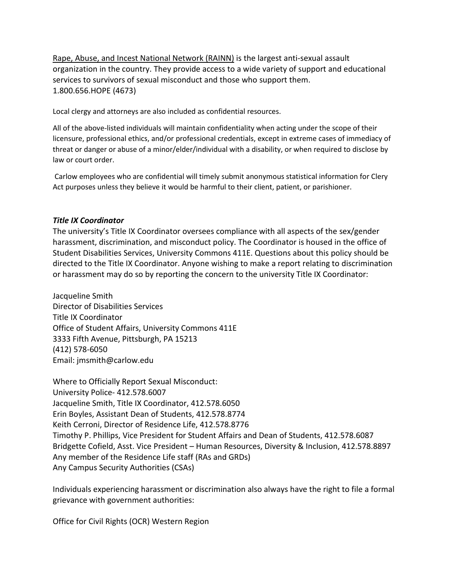Rape, Abuse, and Incest National Network (RAINN) is the largest anti-sexual assault organization in the country. They provide access to a wide variety of support and educational services to survivors of sexual misconduct and those who support them. 1.800.656.HOPE (4673)

Local clergy and attorneys are also included as confidential resources.

All of the above-listed individuals will maintain confidentiality when acting under the scope of their licensure, professional ethics, and/or professional credentials, except in extreme cases of immediacy of threat or danger or abuse of a minor/elder/individual with a disability, or when required to disclose by law or court order.

Carlow employees who are confidential will timely submit anonymous statistical information for Clery Act purposes unless they believe it would be harmful to their client, patient, or parishioner.

## *Title IX Coordinator*

The university's Title IX Coordinator oversees compliance with all aspects of the sex/gender harassment, discrimination, and misconduct policy. The Coordinator is housed in the office of Student Disabilities Services, University Commons 411E. Questions about this policy should be directed to the Title IX Coordinator. Anyone wishing to make a report relating to discrimination or harassment may do so by reporting the concern to the university Title IX Coordinator:

Jacqueline Smith Director of Disabilities Services Title IX Coordinator Office of Student Affairs, University Commons 411E 3333 Fifth Avenue, Pittsburgh, PA 15213 (412) 578-6050 Email: jmsmith@carlow.edu

Where to Officially Report Sexual Misconduct: University Police- 412.578.6007 Jacqueline Smith, Title IX Coordinator, 412.578.6050 Erin Boyles, Assistant Dean of Students, 412.578.8774 Keith Cerroni, Director of Residence Life, 412.578.8776 Timothy P. Phillips, Vice President for Student Affairs and Dean of Students, 412.578.6087 Bridgette Cofield, Asst. Vice President – Human Resources, Diversity & Inclusion, 412.578.8897 Any member of the Residence Life staff (RAs and GRDs) Any Campus Security Authorities (CSAs)

Individuals experiencing harassment or discrimination also always have the right to file a formal grievance with government authorities:

Office for Civil Rights (OCR) Western Region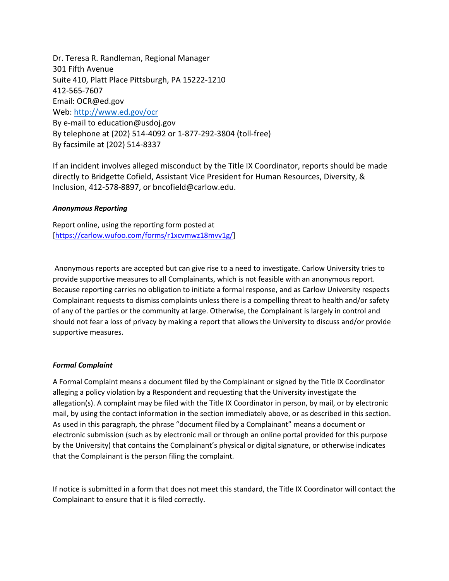Dr. Teresa R. Randleman, Regional Manager 301 Fifth Avenue Suite 410, Platt Place Pittsburgh, PA 15222-1210 412-565-7607 Email: OCR@ed.gov Web:<http://www.ed.gov/ocr> By e-mail to education@usdoj.gov By telephone at (202) 514-4092 or 1-877-292-3804 (toll-free) By facsimile at (202) 514-8337

If an incident involves alleged misconduct by the Title IX Coordinator, reports should be made directly to Bridgette Cofield, Assistant Vice President for Human Resources, Diversity, & Inclusion, 412-578-8897, or bncofield@carlow.edu.

#### *Anonymous Reporting*

Report online, using the reporting form posted at [\[https://carlow.wufoo.com/forms/r1xcvmwz18mvv1g/\]](https://carlow.wufoo.com/forms/r1xcvmwz18mvv1g/)

Anonymous reports are accepted but can give rise to a need to investigate. Carlow University tries to provide supportive measures to all Complainants, which is not feasible with an anonymous report. Because reporting carries no obligation to initiate a formal response, and as Carlow University respects Complainant requests to dismiss complaints unless there is a compelling threat to health and/or safety of any of the parties or the community at large. Otherwise, the Complainant is largely in control and should not fear a loss of privacy by making a report that allows the University to discuss and/or provide supportive measures.

#### *Formal Complaint*

A Formal Complaint means a document filed by the Complainant or signed by the Title IX Coordinator alleging a policy violation by a Respondent and requesting that the University investigate the allegation(s). A complaint may be filed with the Title IX Coordinator in person, by mail, or by electronic mail, by using the contact information in the section immediately above, or as described in this section. As used in this paragraph, the phrase "document filed by a Complainant" means a document or electronic submission (such as by electronic mail or through an online portal provided for this purpose by the University) that contains the Complainant's physical or digital signature, or otherwise indicates that the Complainant is the person filing the complaint.

If notice is submitted in a form that does not meet this standard, the Title IX Coordinator will contact the Complainant to ensure that it is filed correctly.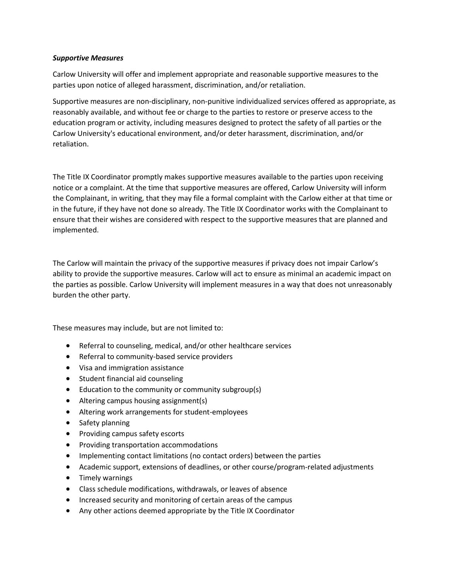#### *Supportive Measures*

Carlow University will offer and implement appropriate and reasonable supportive measures to the parties upon notice of alleged harassment, discrimination, and/or retaliation.

Supportive measures are non-disciplinary, non-punitive individualized services offered as appropriate, as reasonably available, and without fee or charge to the parties to restore or preserve access to the education program or activity, including measures designed to protect the safety of all parties or the Carlow University's educational environment, and/or deter harassment, discrimination, and/or retaliation.

The Title IX Coordinator promptly makes supportive measures available to the parties upon receiving notice or a complaint. At the time that supportive measures are offered, Carlow University will inform the Complainant, in writing, that they may file a formal complaint with the Carlow either at that time or in the future, if they have not done so already. The Title IX Coordinator works with the Complainant to ensure that their wishes are considered with respect to the supportive measures that are planned and implemented.

The Carlow will maintain the privacy of the supportive measures if privacy does not impair Carlow's ability to provide the supportive measures. Carlow will act to ensure as minimal an academic impact on the parties as possible. Carlow University will implement measures in a way that does not unreasonably burden the other party.

These measures may include, but are not limited to:

- Referral to counseling, medical, and/or other healthcare services
- Referral to community-based service providers
- Visa and immigration assistance
- Student financial aid counseling
- Education to the community or community subgroup(s)
- Altering campus housing assignment(s)
- Altering work arrangements for student-employees
- Safety planning
- Providing campus safety escorts
- Providing transportation accommodations
- Implementing contact limitations (no contact orders) between the parties
- Academic support, extensions of deadlines, or other course/program-related adjustments
- Timely warnings
- Class schedule modifications, withdrawals, or leaves of absence
- Increased security and monitoring of certain areas of the campus
- Any other actions deemed appropriate by the Title IX Coordinator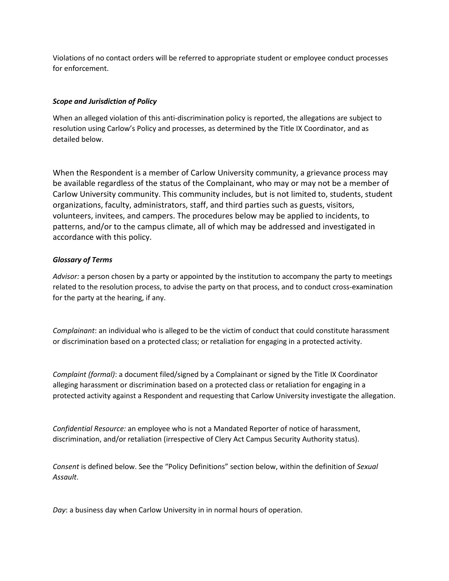Violations of no contact orders will be referred to appropriate student or employee conduct processes for enforcement.

# *Scope and Jurisdiction of Policy*

When an alleged violation of this anti-discrimination policy is reported, the allegations are subject to resolution using Carlow's Policy and processes, as determined by the Title IX Coordinator, and as detailed below.

When the Respondent is a member of Carlow University community, a grievance process may be available regardless of the status of the Complainant, who may or may not be a member of Carlow University community. This community includes, but is not limited to, students, student organizations, faculty, administrators, staff, and third parties such as guests, visitors, volunteers, invitees, and campers. The procedures below may be applied to incidents, to patterns, and/or to the campus climate, all of which may be addressed and investigated in accordance with this policy.

## *Glossary of Terms*

*Advisor:* a person chosen by a party or appointed by the institution to accompany the party to meetings related to the resolution process, to advise the party on that process, and to conduct cross-examination for the party at the hearing, if any.

*Complainant*: an individual who is alleged to be the victim of conduct that could constitute harassment or discrimination based on a protected class; or retaliation for engaging in a protected activity.

*Complaint (formal)*: a document filed/signed by a Complainant or signed by the Title IX Coordinator alleging harassment or discrimination based on a protected class or retaliation for engaging in a protected activity against a Respondent and requesting that Carlow University investigate the allegation.

*Confidential Resource:* an employee who is not a Mandated Reporter of notice of harassment, discrimination, and/or retaliation (irrespective of Clery Act Campus Security Authority status).

*Consent* is defined below. See the "Policy Definitions" section below, within the definition of *Sexual Assault*.

*Day*: a business day when Carlow University in in normal hours of operation.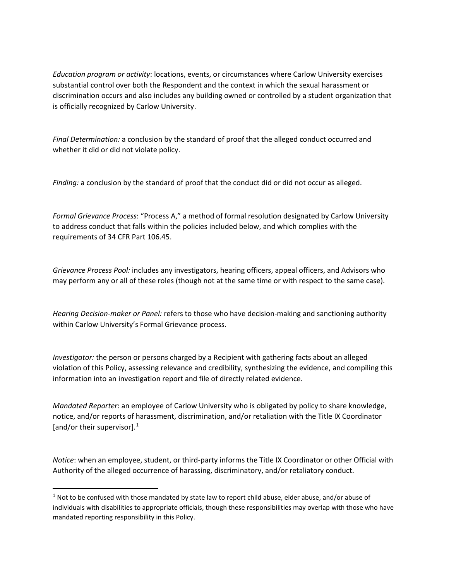*Education program or activity*: locations, events, or circumstances where Carlow University exercises substantial control over both the Respondent and the context in which the sexual harassment or discrimination occurs and also includes any building owned or controlled by a student organization that is officially recognized by Carlow University.

*Final Determination:* a conclusion by the standard of proof that the alleged conduct occurred and whether it did or did not violate policy.

*Finding:* a conclusion by the standard of proof that the conduct did or did not occur as alleged.

*Formal Grievance Process*: "Process A," a method of formal resolution designated by Carlow University to address conduct that falls within the policies included below, and which complies with the requirements of 34 CFR Part 106.45.

*Grievance Process Pool:* includes any investigators, hearing officers, appeal officers, and Advisors who may perform any or all of these roles (though not at the same time or with respect to the same case).

*Hearing Decision-maker or Panel:* refers to those who have decision-making and sanctioning authority within Carlow University's Formal Grievance process.

*Investigator:* the person or persons charged by a Recipient with gathering facts about an alleged violation of this Policy, assessing relevance and credibility, synthesizing the evidence, and compiling this information into an investigation report and file of directly related evidence.

*Mandated Reporter*: an employee of Carlow University who is obligated by policy to share knowledge, notice, and/or reports of harassment, discrimination, and/or retaliation with the Title IX Coordinator [and/or their supervisor]. $<sup>1</sup>$  $<sup>1</sup>$  $<sup>1</sup>$ </sup>

*Notice*: when an employee, student, or third-party informs the Title IX Coordinator or other Official with Authority of the alleged occurrence of harassing, discriminatory, and/or retaliatory conduct.

<span id="page-7-0"></span> $1$  Not to be confused with those mandated by state law to report child abuse, elder abuse, and/or abuse of individuals with disabilities to appropriate officials, though these responsibilities may overlap with those who have mandated reporting responsibility in this Policy.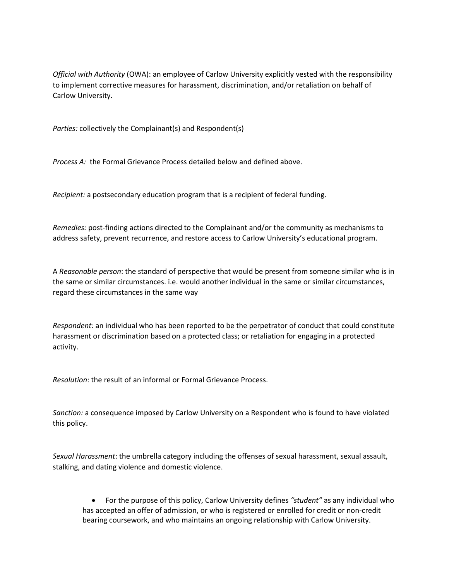*Official with Authority* (OWA): an employee of Carlow University explicitly vested with the responsibility to implement corrective measures for harassment, discrimination, and/or retaliation on behalf of Carlow University.

*Parties:* collectively the Complainant(s) and Respondent(s)

*Process A:* the Formal Grievance Process detailed below and defined above.

*Recipient:* a postsecondary education program that is a recipient of federal funding.

*Remedies:* post-finding actions directed to the Complainant and/or the community as mechanisms to address safety, prevent recurrence, and restore access to Carlow University's educational program.

A *Reasonable person*: the standard of perspective that would be present from someone similar who is in the same or similar circumstances. i.e. would another individual in the same or similar circumstances, regard these circumstances in the same way

*Respondent:* an individual who has been reported to be the perpetrator of conduct that could constitute harassment or discrimination based on a protected class; or retaliation for engaging in a protected activity.

*Resolution*: the result of an informal or Formal Grievance Process.

*Sanction:* a consequence imposed by Carlow University on a Respondent who is found to have violated this policy.

*Sexual Harassment*: the umbrella category including the offenses of sexual harassment, sexual assault, stalking, and dating violence and domestic violence.

• For the purpose of this policy, Carlow University defines *"student"* as any individual who has accepted an offer of admission, or who is registered or enrolled for credit or non-credit bearing coursework, and who maintains an ongoing relationship with Carlow University.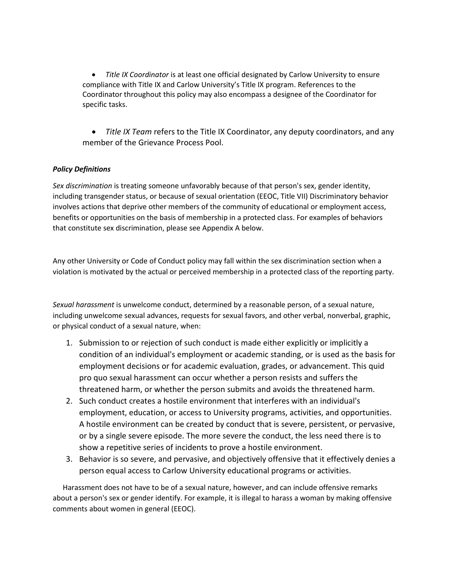• *Title IX Coordinator* is at least one official designated by Carlow University to ensure compliance with Title IX and Carlow University's Title IX program. References to the Coordinator throughout this policy may also encompass a designee of the Coordinator for specific tasks.

• *Title IX Team* refers to the Title IX Coordinator, any deputy coordinators, and any member of the Grievance Process Pool.

# *Policy Definitions*

*Sex discrimination* is treating someone unfavorably because of that person's sex, gender identity, including transgender status, or because of sexual orientation (EEOC, Title VII) Discriminatory behavior involves actions that deprive other members of the community of educational or employment access, benefits or opportunities on the basis of membership in a protected class. For examples of behaviors that constitute sex discrimination, please see Appendix A below.

Any other University or Code of Conduct policy may fall within the sex discrimination section when a violation is motivated by the actual or perceived membership in a protected class of the reporting party.

*Sexual harassment* is unwelcome conduct, determined by a reasonable person, of a sexual nature, including unwelcome sexual advances, requests for sexual favors, and other verbal, nonverbal, graphic, or physical conduct of a sexual nature, when:

- 1. Submission to or rejection of such conduct is made either explicitly or implicitly a condition of an individual's employment or academic standing, or is used as the basis for employment decisions or for academic evaluation, grades, or advancement. This quid pro quo sexual harassment can occur whether a person resists and suffers the threatened harm, or whether the person submits and avoids the threatened harm.
- 2. Such conduct creates a hostile environment that interferes with an individual's employment, education, or access to University programs, activities, and opportunities. A hostile environment can be created by conduct that is severe, persistent, or pervasive, or by a single severe episode. The more severe the conduct, the less need there is to show a repetitive series of incidents to prove a hostile environment.
- 3. Behavior is so severe, and pervasive, and objectively offensive that it effectively denies a person equal access to Carlow University educational programs or activities.

Harassment does not have to be of a sexual nature, however, and can include offensive remarks about a person's sex or gender identify. For example, it is illegal to harass a woman by making offensive comments about women in general (EEOC).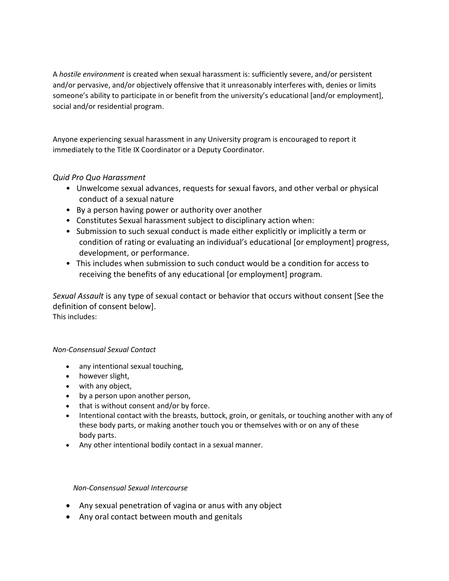A *hostile environment* is created when sexual harassment is: sufficiently severe, and/or persistent and/or pervasive, and/or objectively offensive that it unreasonably interferes with, denies or limits someone's ability to participate in or benefit from the university's educational [and/or employment], social and/or residential program.

Anyone experiencing sexual harassment in any University program is encouraged to report it immediately to the Title IX Coordinator or a Deputy Coordinator.

# *Quid Pro Quo Harassment*

- Unwelcome sexual advances, requests for sexual favors, and other verbal or physical conduct of a sexual nature
- By a person having power or authority over another
- Constitutes Sexual harassment subject to disciplinary action when:
- Submission to such sexual conduct is made either explicitly or implicitly a term or condition of rating or evaluating an individual's educational [or employment] progress, development, or performance.
- This includes when submission to such conduct would be a condition for access to receiving the benefits of any educational [or employment] program.

*Sexual Assault* is any type of sexual contact or behavior that occurs without consent [See the definition of consent below].

This includes:

# *Non-Consensual Sexual Contact*

- any intentional sexual touching,
- however slight,
- with any object,
- by a person upon another person,
- that is without consent and/or by force.
- Intentional contact with the breasts, buttock, groin, or genitals, or touching another with any of these body parts, or making another touch you or themselves with or on any of these body parts.
- Any other intentional bodily contact in a sexual manner.

# *Non-Consensual Sexual Intercourse*

- Any sexual penetration of vagina or anus with any object
- Any oral contact between mouth and genitals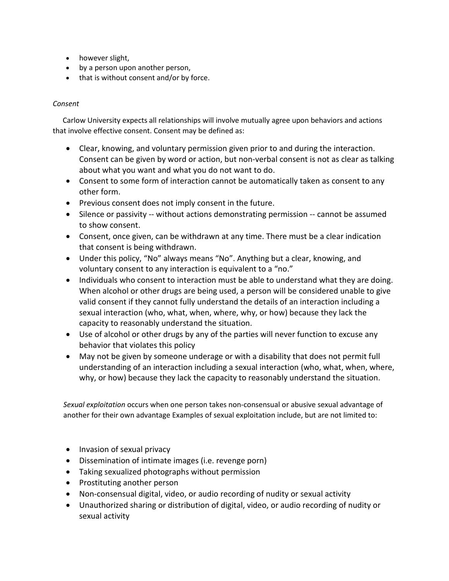- however slight,
- by a person upon another person,
- that is without consent and/or by force.

# *Consent*

Carlow University expects all relationships will involve mutually agree upon behaviors and actions that involve effective consent. Consent may be defined as:

- Clear, knowing, and voluntary permission given prior to and during the interaction. Consent can be given by word or action, but non-verbal consent is not as clear as talking about what you want and what you do not want to do.
- Consent to some form of interaction cannot be automatically taken as consent to any other form.
- Previous consent does not imply consent in the future.
- Silence or passivity -- without actions demonstrating permission -- cannot be assumed to show consent.
- Consent, once given, can be withdrawn at any time. There must be a clear indication that consent is being withdrawn.
- Under this policy, "No" always means "No". Anything but a clear, knowing, and voluntary consent to any interaction is equivalent to a "no."
- Individuals who consent to interaction must be able to understand what they are doing. When alcohol or other drugs are being used, a person will be considered unable to give valid consent if they cannot fully understand the details of an interaction including a sexual interaction (who, what, when, where, why, or how) because they lack the capacity to reasonably understand the situation.
- Use of alcohol or other drugs by any of the parties will never function to excuse any behavior that violates this policy
- May not be given by someone underage or with a disability that does not permit full understanding of an interaction including a sexual interaction (who, what, when, where, why, or how) because they lack the capacity to reasonably understand the situation.

*Sexual exploitation* occurs when one person takes non-consensual or abusive sexual advantage of another for their own advantage Examples of sexual exploitation include, but are not limited to:

- Invasion of sexual privacy
- Dissemination of intimate images (i.e. revenge porn)
- Taking sexualized photographs without permission
- Prostituting another person
- Non-consensual digital, video, or audio recording of nudity or sexual activity
- Unauthorized sharing or distribution of digital, video, or audio recording of nudity or sexual activity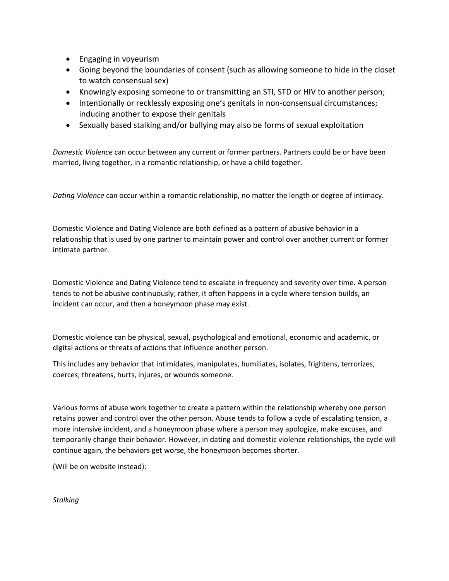- Engaging in voyeurism
- Going beyond the boundaries of consent (such as allowing someone to hide in the closet to watch consensual sex)
- Knowingly exposing someone to or transmitting an STI, STD or HIV to another person;
- Intentionally or recklessly exposing one's genitals in non-consensual circumstances; inducing another to expose their genitals
- Sexually based stalking and/or bullying may also be forms of sexual exploitation

*Domestic Violence* can occur between any current or former partners. Partners could be or have been married, living together, in a romantic relationship, or have a child together.

*Dating Violence* can occur within a romantic relationship, no matter the length or degree of intimacy.

Domestic Violence and Dating Violence are both defined as a pattern of abusive behavior in a relationship that is used by one partner to maintain power and control over another current or former intimate partner.

Domestic Violence and Dating Violence tend to escalate in frequency and severity over time. A person tends to not be abusive continuously; rather, it often happens in a cycle where tension builds, an incident can occur, and then a honeymoon phase may exist.

Domestic violence can be physical, sexual, psychological and emotional, economic and academic, or digital actions or threats of actions that influence another person.

This includes any behavior that intimidates, manipulates, humiliates, isolates, frightens, terrorizes, coerces, threatens, hurts, injures, or wounds someone.

Various forms of abuse work together to create a pattern within the relationship whereby one person retains power and control over the other person. Abuse tends to follow a cycle of escalating tension, a more intensive incident, and a honeymoon phase where a person may apologize, make excuses, and temporarily change their behavior. However, in dating and domestic violence relationships, the cycle will continue again, the behaviors get worse, the honeymoon becomes shorter.

(Will be on website instead):

*Stalking*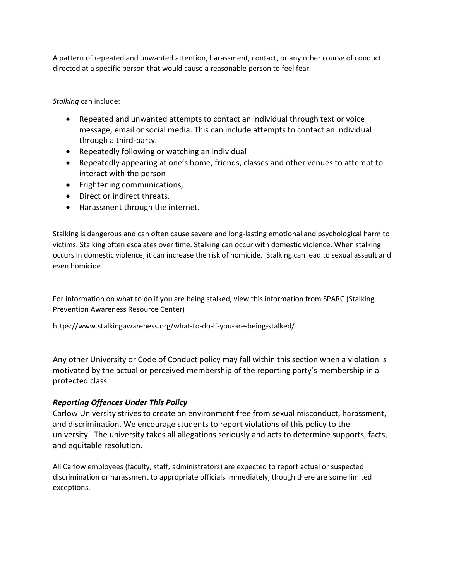A pattern of repeated and unwanted attention, harassment, contact, or any other course of conduct directed at a specific person that would cause a reasonable person to feel fear.

*Stalking* can include:

- Repeated and unwanted attempts to contact an individual through text or voice message, email or social media. This can include attempts to contact an individual through a third-party.
- Repeatedly following or watching an individual
- Repeatedly appearing at one's home, friends, classes and other venues to attempt to interact with the person
- Frightening communications,
- Direct or indirect threats.
- Harassment through the internet.

Stalking is dangerous and can often cause severe and long-lasting emotional and psychological harm to victims. Stalking often escalates over time. Stalking can occur with domestic violence. When stalking occurs in domestic violence, it can increase the risk of homicide. Stalking can lead to sexual assault and even homicide.

For information on what to do if you are being stalked, view this information from SPARC (Stalking Prevention Awareness Resource Center)

https://www.stalkingawareness.org/what-to-do-if-you-are-being-stalked/

Any other University or Code of Conduct policy may fall within this section when a violation is motivated by the actual or perceived membership of the reporting party's membership in a protected class.

# *Reporting Offences Under This Policy*

Carlow University strives to create an environment free from sexual misconduct, harassment, and discrimination. We encourage students to report violations of this policy to the university. The university takes all allegations seriously and acts to determine supports, facts, and equitable resolution.

All Carlow employees (faculty, staff, administrators) are expected to report actual or suspected discrimination or harassment to appropriate officials immediately, though there are some limited exceptions.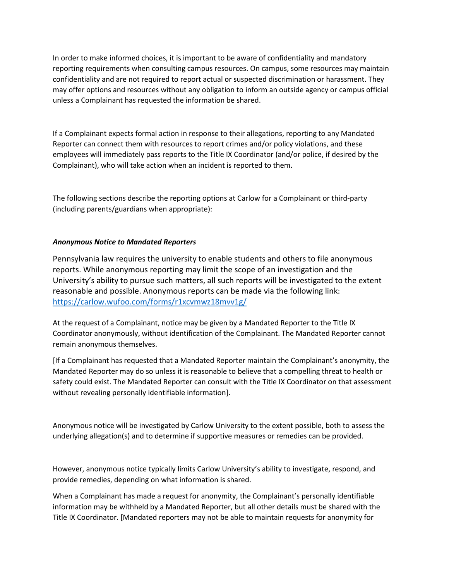In order to make informed choices, it is important to be aware of confidentiality and mandatory reporting requirements when consulting campus resources. On campus, some resources may maintain confidentiality and are not required to report actual or suspected discrimination or harassment. They may offer options and resources without any obligation to inform an outside agency or campus official unless a Complainant has requested the information be shared.

If a Complainant expects formal action in response to their allegations, reporting to any Mandated Reporter can connect them with resources to report crimes and/or policy violations, and these employees will immediately pass reports to the Title IX Coordinator (and/or police, if desired by the Complainant), who will take action when an incident is reported to them.

The following sections describe the reporting options at Carlow for a Complainant or third-party (including parents/guardians when appropriate):

## *Anonymous Notice to Mandated Reporters*

Pennsylvania law requires the university to enable students and others to file anonymous reports. While anonymous reporting may limit the scope of an investigation and the University's ability to pursue such matters, all such reports will be investigated to the extent reasonable and possible. Anonymous reports can be made via the following link: <https://carlow.wufoo.com/forms/r1xcvmwz18mvv1g/>

At the request of a Complainant, notice may be given by a Mandated Reporter to the Title IX Coordinator anonymously, without identification of the Complainant. The Mandated Reporter cannot remain anonymous themselves.

[If a Complainant has requested that a Mandated Reporter maintain the Complainant's anonymity, the Mandated Reporter may do so unless it is reasonable to believe that a compelling threat to health or safety could exist. The Mandated Reporter can consult with the Title IX Coordinator on that assessment without revealing personally identifiable information].

Anonymous notice will be investigated by Carlow University to the extent possible, both to assess the underlying allegation(s) and to determine if supportive measures or remedies can be provided.

However, anonymous notice typically limits Carlow University's ability to investigate, respond, and provide remedies, depending on what information is shared.

When a Complainant has made a request for anonymity, the Complainant's personally identifiable information may be withheld by a Mandated Reporter, but all other details must be shared with the Title IX Coordinator. [Mandated reporters may not be able to maintain requests for anonymity for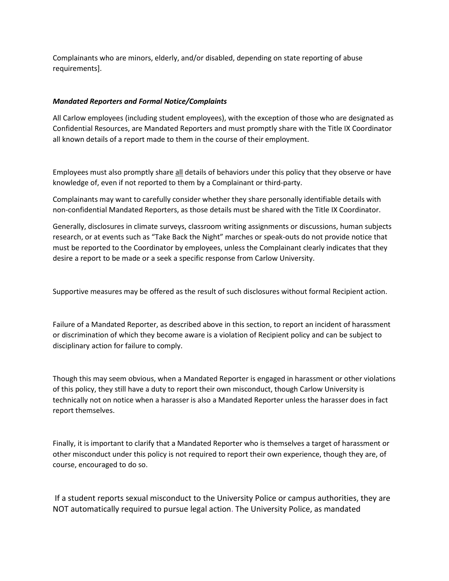Complainants who are minors, elderly, and/or disabled, depending on state reporting of abuse requirements].

## *Mandated Reporters and Formal Notice/Complaints*

All Carlow employees (including student employees), with the exception of those who are designated as Confidential Resources, are Mandated Reporters and must promptly share with the Title IX Coordinator all known details of a report made to them in the course of their employment.

Employees must also promptly share all details of behaviors under this policy that they observe or have knowledge of, even if not reported to them by a Complainant or third-party.

Complainants may want to carefully consider whether they share personally identifiable details with non-confidential Mandated Reporters, as those details must be shared with the Title IX Coordinator.

Generally, disclosures in climate surveys, classroom writing assignments or discussions, human subjects research, or at events such as "Take Back the Night" marches or speak-outs do not provide notice that must be reported to the Coordinator by employees, unless the Complainant clearly indicates that they desire a report to be made or a seek a specific response from Carlow University.

Supportive measures may be offered as the result of such disclosures without formal Recipient action.

Failure of a Mandated Reporter, as described above in this section, to report an incident of harassment or discrimination of which they become aware is a violation of Recipient policy and can be subject to disciplinary action for failure to comply.

Though this may seem obvious, when a Mandated Reporter is engaged in harassment or other violations of this policy, they still have a duty to report their own misconduct, though Carlow University is technically not on notice when a harasser is also a Mandated Reporter unless the harasser does in fact report themselves.

Finally, it is important to clarify that a Mandated Reporter who is themselves a target of harassment or other misconduct under this policy is not required to report their own experience, though they are, of course, encouraged to do so.

If a student reports sexual misconduct to the University Police or campus authorities, they are NOT automatically required to pursue legal action. The University Police, as mandated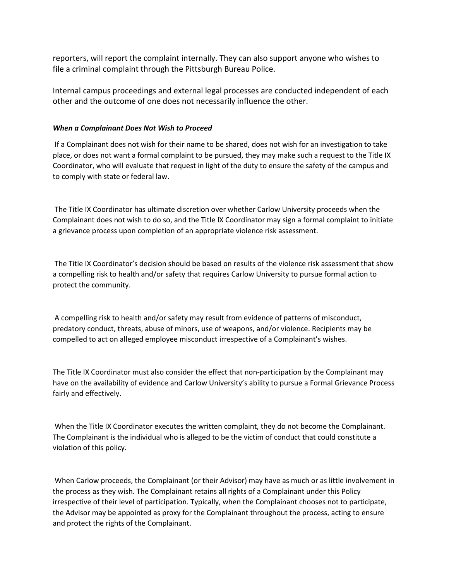reporters, will report the complaint internally. They can also support anyone who wishes to file a criminal complaint through the Pittsburgh Bureau Police.

Internal campus proceedings and external legal processes are conducted independent of each other and the outcome of one does not necessarily influence the other.

## *When a Complainant Does Not Wish to Proceed*

If a Complainant does not wish for their name to be shared, does not wish for an investigation to take place, or does not want a formal complaint to be pursued, they may make such a request to the Title IX Coordinator, who will evaluate that request in light of the duty to ensure the safety of the campus and to comply with state or federal law.

The Title IX Coordinator has ultimate discretion over whether Carlow University proceeds when the Complainant does not wish to do so, and the Title IX Coordinator may sign a formal complaint to initiate a grievance process upon completion of an appropriate violence risk assessment.

The Title IX Coordinator's decision should be based on results of the violence risk assessment that show a compelling risk to health and/or safety that requires Carlow University to pursue formal action to protect the community.

A compelling risk to health and/or safety may result from evidence of patterns of misconduct, predatory conduct, threats, abuse of minors, use of weapons, and/or violence. Recipients may be compelled to act on alleged employee misconduct irrespective of a Complainant's wishes.

The Title IX Coordinator must also consider the effect that non-participation by the Complainant may have on the availability of evidence and Carlow University's ability to pursue a Formal Grievance Process fairly and effectively.

When the Title IX Coordinator executes the written complaint, they do not become the Complainant. The Complainant is the individual who is alleged to be the victim of conduct that could constitute a violation of this policy.

When Carlow proceeds, the Complainant (or their Advisor) may have as much or as little involvement in the process as they wish. The Complainant retains all rights of a Complainant under this Policy irrespective of their level of participation. Typically, when the Complainant chooses not to participate, the Advisor may be appointed as proxy for the Complainant throughout the process, acting to ensure and protect the rights of the Complainant.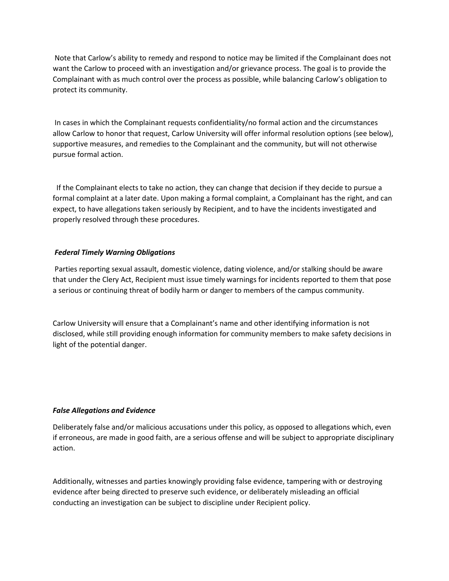Note that Carlow's ability to remedy and respond to notice may be limited if the Complainant does not want the Carlow to proceed with an investigation and/or grievance process. The goal is to provide the Complainant with as much control over the process as possible, while balancing Carlow's obligation to protect its community.

In cases in which the Complainant requests confidentiality/no formal action and the circumstances allow Carlow to honor that request, Carlow University will offer informal resolution options (see below), supportive measures, and remedies to the Complainant and the community, but will not otherwise pursue formal action.

 If the Complainant elects to take no action, they can change that decision if they decide to pursue a formal complaint at a later date. Upon making a formal complaint, a Complainant has the right, and can expect, to have allegations taken seriously by Recipient, and to have the incidents investigated and properly resolved through these procedures.

## *Federal Timely Warning Obligations*

Parties reporting sexual assault, domestic violence, dating violence, and/or stalking should be aware that under the Clery Act, Recipient must issue timely warnings for incidents reported to them that pose a serious or continuing threat of bodily harm or danger to members of the campus community.

Carlow University will ensure that a Complainant's name and other identifying information is not disclosed, while still providing enough information for community members to make safety decisions in light of the potential danger.

## *False Allegations and Evidence*

Deliberately false and/or malicious accusations under this policy, as opposed to allegations which, even if erroneous, are made in good faith, are a serious offense and will be subject to appropriate disciplinary action.

Additionally, witnesses and parties knowingly providing false evidence, tampering with or destroying evidence after being directed to preserve such evidence, or deliberately misleading an official conducting an investigation can be subject to discipline under Recipient policy.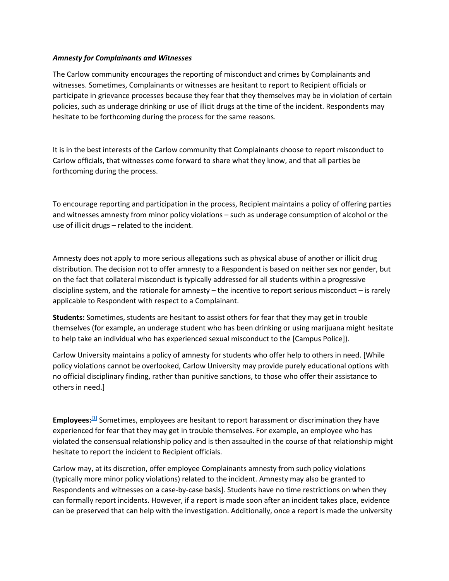#### *Amnesty for Complainants and Witnesses*

The Carlow community encourages the reporting of misconduct and crimes by Complainants and witnesses. Sometimes, Complainants or witnesses are hesitant to report to Recipient officials or participate in grievance processes because they fear that they themselves may be in violation of certain policies, such as underage drinking or use of illicit drugs at the time of the incident. Respondents may hesitate to be forthcoming during the process for the same reasons.

It is in the best interests of the Carlow community that Complainants choose to report misconduct to Carlow officials, that witnesses come forward to share what they know, and that all parties be forthcoming during the process.

To encourage reporting and participation in the process, Recipient maintains a policy of offering parties and witnesses amnesty from minor policy violations – such as underage consumption of alcohol or the use of illicit drugs – related to the incident.

Amnesty does not apply to more serious allegations such as physical abuse of another or illicit drug distribution. The decision not to offer amnesty to a Respondent is based on neither sex nor gender, but on the fact that collateral misconduct is typically addressed for all students within a progressive discipline system, and the rationale for amnesty – the incentive to report serious misconduct – is rarely applicable to Respondent with respect to a Complainant.

**Students:** Sometimes, students are hesitant to assist others for fear that they may get in trouble themselves (for example, an underage student who has been drinking or using marijuana might hesitate to help take an individual who has experienced sexual misconduct to the [Campus Police]).

Carlow University maintains a policy of amnesty for students who offer help to others in need. [While policy violations cannot be overlooked, Carlow University may provide purely educational options with no official disciplinary finding, rather than punitive sanctions, to those who offer their assistance to others in need.]

**Employees:[1]** Sometimes, employees are hesitant to report harassment or discrimination they have experienced for fear that they may get in trouble themselves. For example, an employee who has violated the consensual relationship policy and is then assaulted in the course of that relationship might hesitate to report the incident to Recipient officials.

Carlow may, at its discretion, offer employee Complainants amnesty from such policy violations (typically more minor policy violations) related to the incident. Amnesty may also be granted to Respondents and witnesses on a case-by-case basis]. Students have no time restrictions on when they can formally report incidents. However, if a report is made soon after an incident takes place, evidence can be preserved that can help with the investigation. Additionally, once a report is made the university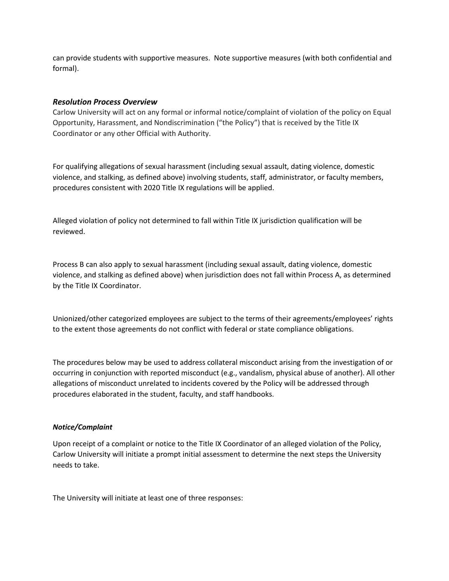can provide students with supportive measures. Note supportive measures (with both confidential and formal).

## *Resolution Process Overview*

Carlow University will act on any formal or informal notice/complaint of violation of the policy on Equal Opportunity, Harassment, and Nondiscrimination ("the Policy") that is received by the Title IX Coordinator or any other Official with Authority.

For qualifying allegations of sexual harassment (including sexual assault, dating violence, domestic violence, and stalking, as defined above) involving students, staff, administrator, or faculty members, procedures consistent with 2020 Title IX regulations will be applied.

Alleged violation of policy not determined to fall within Title IX jurisdiction qualification will be reviewed.

Process B can also apply to sexual harassment (including sexual assault, dating violence, domestic violence, and stalking as defined above) when jurisdiction does not fall within Process A, as determined by the Title IX Coordinator.

Unionized/other categorized employees are subject to the terms of their agreements/employees' rights to the extent those agreements do not conflict with federal or state compliance obligations.

The procedures below may be used to address collateral misconduct arising from the investigation of or occurring in conjunction with reported misconduct (e.g., vandalism, physical abuse of another). All other allegations of misconduct unrelated to incidents covered by the Policy will be addressed through procedures elaborated in the student, faculty, and staff handbooks.

## *Notice/Complaint*

Upon receipt of a complaint or notice to the Title IX Coordinator of an alleged violation of the Policy, Carlow University will initiate a prompt initial assessment to determine the next steps the University needs to take.

The University will initiate at least one of three responses: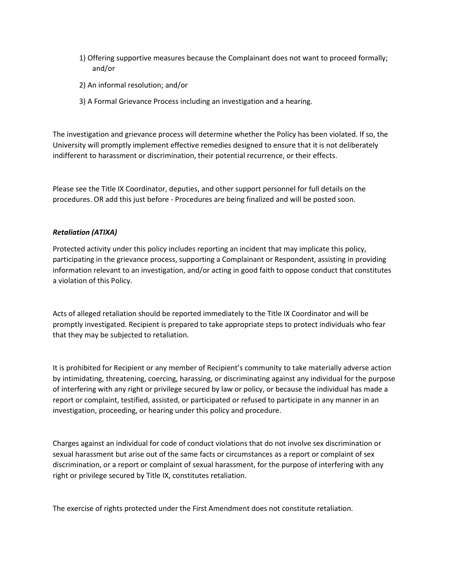- 1) Offering supportive measures because the Complainant does not want to proceed formally; and/or
- 2) An informal resolution; and/or
- 3) A Formal Grievance Process including an investigation and a hearing.

The investigation and grievance process will determine whether the Policy has been violated. If so, the University will promptly implement effective remedies designed to ensure that it is not deliberately indifferent to harassment or discrimination, their potential recurrence, or their effects.

Please see the Title IX Coordinator, deputies, and other support personnel for full details on the procedures. OR add this just before - Procedures are being finalized and will be posted soon.

## *Retaliation (ATIXA)*

Protected activity under this policy includes reporting an incident that may implicate this policy, participating in the grievance process, supporting a Complainant or Respondent, assisting in providing information relevant to an investigation, and/or acting in good faith to oppose conduct that constitutes a violation of this Policy.

Acts of alleged retaliation should be reported immediately to the Title IX Coordinator and will be promptly investigated. Recipient is prepared to take appropriate steps to protect individuals who fear that they may be subjected to retaliation.

It is prohibited for Recipient or any member of Recipient's community to take materially adverse action by intimidating, threatening, coercing, harassing, or discriminating against any individual for the purpose of interfering with any right or privilege secured by law or policy, or because the individual has made a report or complaint, testified, assisted, or participated or refused to participate in any manner in an investigation, proceeding, or hearing under this policy and procedure.

Charges against an individual for code of conduct violations that do not involve sex discrimination or sexual harassment but arise out of the same facts or circumstances as a report or complaint of sex discrimination, or a report or complaint of sexual harassment, for the purpose of interfering with any right or privilege secured by Title IX, constitutes retaliation.

The exercise of rights protected under the First Amendment does not constitute retaliation.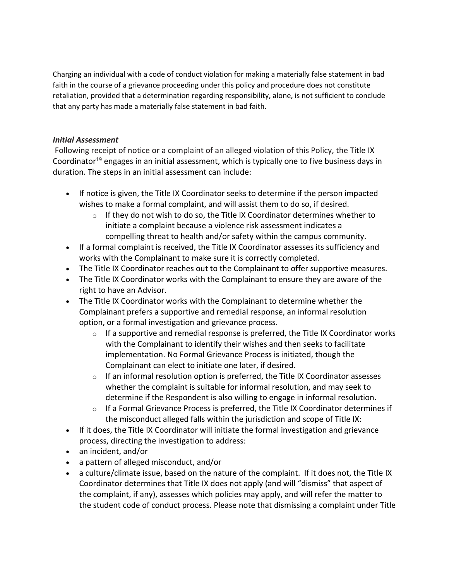Charging an individual with a code of conduct violation for making a materially false statement in bad faith in the course of a grievance proceeding under this policy and procedure does not constitute retaliation, provided that a determination regarding responsibility, alone, is not sufficient to conclude that any party has made a materially false statement in bad faith.

# *Initial Assessment*

Following receipt of notice or a complaint of an alleged violation of this Policy, the Title IX Coordinator<sup>19</sup> engages in an initial assessment, which is typically one to five business days in duration. The steps in an initial assessment can include:

- If notice is given, the Title IX Coordinator seeks to determine if the person impacted wishes to make a formal complaint, and will assist them to do so, if desired.
	- $\circ$  If they do not wish to do so, the Title IX Coordinator determines whether to initiate a complaint because a violence risk assessment indicates a compelling threat to health and/or safety within the campus community.
- If a formal complaint is received, the Title IX Coordinator assesses its sufficiency and works with the Complainant to make sure it is correctly completed.
- The Title IX Coordinator reaches out to the Complainant to offer supportive measures.
- The Title IX Coordinator works with the Complainant to ensure they are aware of the right to have an Advisor.
- The Title IX Coordinator works with the Complainant to determine whether the Complainant prefers a supportive and remedial response, an informal resolution option, or a formal investigation and grievance process.
	- $\circ$  If a supportive and remedial response is preferred, the Title IX Coordinator works with the Complainant to identify their wishes and then seeks to facilitate implementation. No Formal Grievance Process is initiated, though the Complainant can elect to initiate one later, if desired.
	- $\circ$  If an informal resolution option is preferred, the Title IX Coordinator assesses whether the complaint is suitable for informal resolution, and may seek to determine if the Respondent is also willing to engage in informal resolution.
	- $\circ$  If a Formal Grievance Process is preferred, the Title IX Coordinator determines if the misconduct alleged falls within the jurisdiction and scope of Title IX:
- If it does, the Title IX Coordinator will initiate the formal investigation and grievance process, directing the investigation to address:
- an incident, and/or
- a pattern of alleged misconduct, and/or
- a culture/climate issue, based on the nature of the complaint. If it does not, the Title IX Coordinator determines that Title IX does not apply (and will "dismiss" that aspect of the complaint, if any), assesses which policies may apply, and will refer the matter to the student code of conduct process. Please note that dismissing a complaint under Title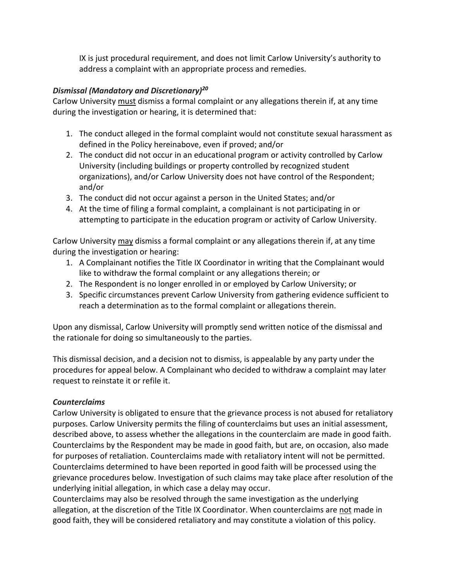IX is just procedural requirement, and does not limit Carlow University's authority to address a complaint with an appropriate process and remedies.

# *Dismissal (Mandatory and Discretionary)20*

Carlow University must dismiss a formal complaint or any allegations therein if, at any time during the investigation or hearing, it is determined that:

- 1. The conduct alleged in the formal complaint would not constitute sexual harassment as defined in the Policy hereinabove, even if proved; and/or
- 2. The conduct did not occur in an educational program or activity controlled by Carlow University (including buildings or property controlled by recognized student organizations), and/or Carlow University does not have control of the Respondent; and/or
- 3. The conduct did not occur against a person in the United States; and/or
- 4. At the time of filing a formal complaint, a complainant is not participating in or attempting to participate in the education program or activity of Carlow University.

Carlow University may dismiss a formal complaint or any allegations therein if, at any time during the investigation or hearing:

- 1. A Complainant notifies the Title IX Coordinator in writing that the Complainant would like to withdraw the formal complaint or any allegations therein; or
- 2. The Respondent is no longer enrolled in or employed by Carlow University; or
- 3. Specific circumstances prevent Carlow University from gathering evidence sufficient to reach a determination as to the formal complaint or allegations therein.

Upon any dismissal, Carlow University will promptly send written notice of the dismissal and the rationale for doing so simultaneously to the parties.

This dismissal decision, and a decision not to dismiss, is appealable by any party under the procedures for appeal below. A Complainant who decided to withdraw a complaint may later request to reinstate it or refile it.

# *Counterclaims*

Carlow University is obligated to ensure that the grievance process is not abused for retaliatory purposes. Carlow University permits the filing of counterclaims but uses an initial assessment, described above, to assess whether the allegations in the counterclaim are made in good faith. Counterclaims by the Respondent may be made in good faith, but are, on occasion, also made for purposes of retaliation. Counterclaims made with retaliatory intent will not be permitted. Counterclaims determined to have been reported in good faith will be processed using the grievance procedures below. Investigation of such claims may take place after resolution of the underlying initial allegation, in which case a delay may occur.

Counterclaims may also be resolved through the same investigation as the underlying allegation, at the discretion of the Title IX Coordinator. When counterclaims are not made in good faith, they will be considered retaliatory and may constitute a violation of this policy.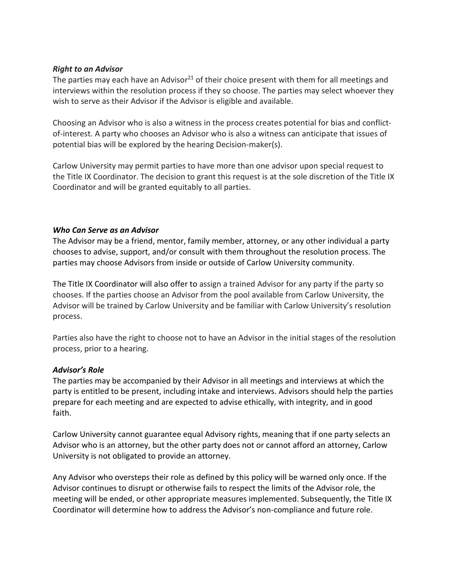# *Right to an Advisor*

The parties may each have an Advisor<sup>21</sup> of their choice present with them for all meetings and interviews within the resolution process if they so choose. The parties may select whoever they wish to serve as their Advisor if the Advisor is eligible and available.

Choosing an Advisor who is also a witness in the process creates potential for bias and conflictof-interest. A party who chooses an Advisor who is also a witness can anticipate that issues of potential bias will be explored by the hearing Decision-maker(s).

Carlow University may permit parties to have more than one advisor upon special request to the Title IX Coordinator. The decision to grant this request is at the sole discretion of the Title IX Coordinator and will be granted equitably to all parties.

## *Who Can Serve as an Advisor*

The Advisor may be a friend, mentor, family member, attorney, or any other individual a party chooses to advise, support, and/or consult with them throughout the resolution process. The parties may choose Advisors from inside or outside of Carlow University community.

The Title IX Coordinator will also offer to assign a trained Advisor for any party if the party so chooses. If the parties choose an Advisor from the pool available from Carlow University, the Advisor will be trained by Carlow University and be familiar with Carlow University's resolution process.

Parties also have the right to choose not to have an Advisor in the initial stages of the resolution process, prior to a hearing.

# *Advisor's Role*

The parties may be accompanied by their Advisor in all meetings and interviews at which the party is entitled to be present, including intake and interviews. Advisors should help the parties prepare for each meeting and are expected to advise ethically, with integrity, and in good faith.

Carlow University cannot guarantee equal Advisory rights, meaning that if one party selects an Advisor who is an attorney, but the other party does not or cannot afford an attorney, Carlow University is not obligated to provide an attorney.

Any Advisor who oversteps their role as defined by this policy will be warned only once. If the Advisor continues to disrupt or otherwise fails to respect the limits of the Advisor role, the meeting will be ended, or other appropriate measures implemented. Subsequently, the Title IX Coordinator will determine how to address the Advisor's non-compliance and future role.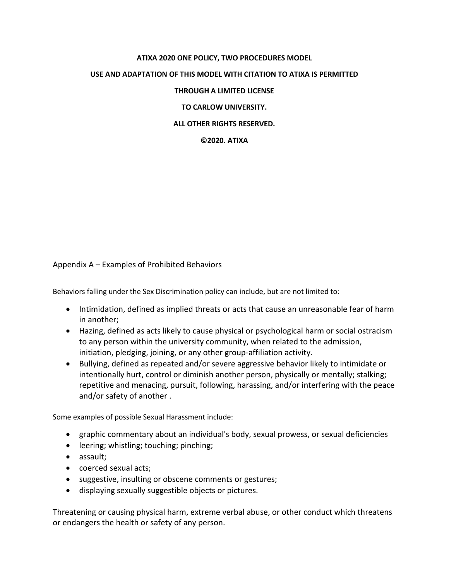# **ATIXA 2020 ONE POLICY, TWO PROCEDURES MODEL USE AND ADAPTATION OF THIS MODEL WITH CITATION TO ATIXA IS PERMITTED THROUGH A LIMITED LICENSE TO CARLOW UNIVERSITY.**

# **ALL OTHER RIGHTS RESERVED.**

## **©2020. ATIXA**

Appendix A – Examples of Prohibited Behaviors

Behaviors falling under the Sex Discrimination policy can include, but are not limited to:

- Intimidation, defined as implied threats or acts that cause an unreasonable fear of harm in another;
- Hazing, defined as acts likely to cause physical or psychological harm or social ostracism to any person within the university community, when related to the admission, initiation, pledging, joining, or any other group-affiliation activity.
- Bullying, defined as repeated and/or severe aggressive behavior likely to intimidate or intentionally hurt, control or diminish another person, physically or mentally; stalking; repetitive and menacing, pursuit, following, harassing, and/or interfering with the peace and/or safety of another .

Some examples of possible Sexual Harassment include:

- graphic commentary about an individual's body, sexual prowess, or sexual deficiencies
- leering; whistling; touching; pinching;
- assault;
- coerced sexual acts;
- suggestive, insulting or obscene comments or gestures;
- displaying sexually suggestible objects or pictures.

Threatening or causing physical harm, extreme verbal abuse, or other conduct which threatens or endangers the health or safety of any person.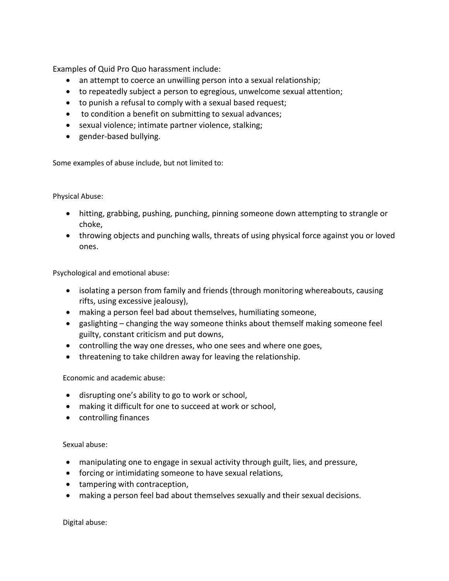Examples of Quid Pro Quo harassment include:

- an attempt to coerce an unwilling person into a sexual relationship;
- to repeatedly subject a person to egregious, unwelcome sexual attention;
- to punish a refusal to comply with a sexual based request;
- to condition a benefit on submitting to sexual advances;
- sexual violence; intimate partner violence, stalking;
- gender-based bullying.

Some examples of abuse include, but not limited to:

Physical Abuse:

- hitting, grabbing, pushing, punching, pinning someone down attempting to strangle or choke,
- throwing objects and punching walls, threats of using physical force against you or loved ones.

Psychological and emotional abuse:

- isolating a person from family and friends (through monitoring whereabouts, causing rifts, using excessive jealousy),
- making a person feel bad about themselves, humiliating someone,
- gaslighting changing the way someone thinks about themself making someone feel guilty, constant criticism and put downs,
- controlling the way one dresses, who one sees and where one goes,
- threatening to take children away for leaving the relationship.

Economic and academic abuse:

- disrupting one's ability to go to work or school,
- making it difficult for one to succeed at work or school,
- controlling finances

Sexual abuse:

- manipulating one to engage in sexual activity through guilt, lies, and pressure,
- forcing or intimidating someone to have sexual relations,
- tampering with contraception,
- making a person feel bad about themselves sexually and their sexual decisions.

Digital abuse: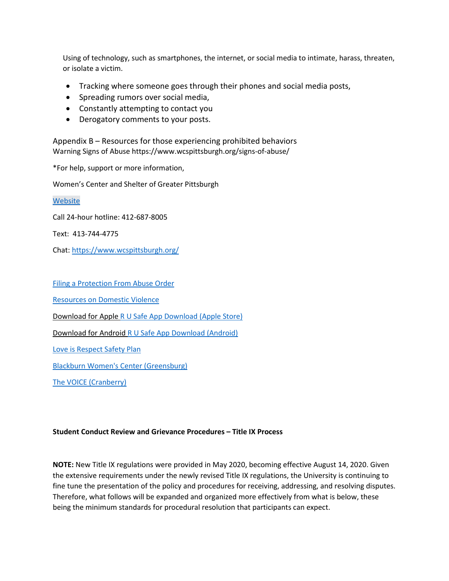Using of technology, such as smartphones, the internet, or social media to intimate, harass, threaten, or isolate a victim.

- Tracking where someone goes through their phones and social media posts,
- Spreading rumors over social media,
- Constantly attempting to contact you
- Derogatory comments to your posts.

Appendix B – Resources for those experiencing prohibited behaviors Warning Signs of Abuse https://www.wcspittsburgh.org/signs-of-abuse/

\*For help, support or more information,

Women's Center and Shelter of Greater Pittsburgh

[Website](https://www.wcspittsburgh.org/)

Call 24-hour hotline: 412-687-8005

Text: 413-744-4775

Chat: <https://www.wcspittsburgh.org/>

[Filing a Protection From Abuse Order](https://www.wcspittsburgh.org/legal-advocacy/)

[Resources on Domestic Violence](https://www.wcspittsburgh.org/resources/) 

Download for Apple [R U Safe App Download \(Apple Store\)](https://apps.apple.com/us/app/rusafe/id738019287?ign-mpt=uo%3D4)

Download for Android [R U Safe App Download \(Android\)](https://play.google.com/store/apps/details?id=com.newton.WomenShelter)

[Love is Respect Safety Plan](https://www.loveisrespect.org/for-yourself/safety-planning/interactive-safety-plan/)

[Blackburn Women's Center \(Greensburg\)](https://www.blackburncenter.org/get-help)

[The VOICE \(Cranberry\)](https://www.domesticshelters.org/help/pa/cranberry-township/16066/victim-outreach-intervention-center-voice)

#### **Student Conduct Review and Grievance Procedures – Title IX Process**

**NOTE:** New Title IX regulations were provided in May 2020, becoming effective August 14, 2020. Given the extensive requirements under the newly revised Title IX regulations, the University is continuing to fine tune the presentation of the policy and procedures for receiving, addressing, and resolving disputes. Therefore, what follows will be expanded and organized more effectively from what is below, these being the minimum standards for procedural resolution that participants can expect.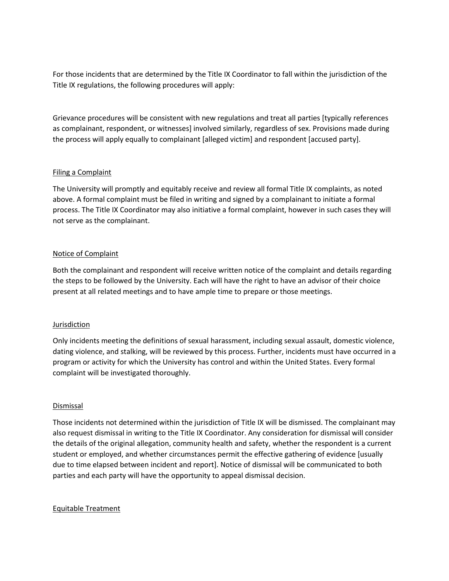For those incidents that are determined by the Title IX Coordinator to fall within the jurisdiction of the Title IX regulations, the following procedures will apply:

Grievance procedures will be consistent with new regulations and treat all parties [typically references as complainant, respondent, or witnesses] involved similarly, regardless of sex. Provisions made during the process will apply equally to complainant [alleged victim] and respondent [accused party].

## Filing a Complaint

The University will promptly and equitably receive and review all formal Title IX complaints, as noted above. A formal complaint must be filed in writing and signed by a complainant to initiate a formal process. The Title IX Coordinator may also initiative a formal complaint, however in such cases they will not serve as the complainant.

## Notice of Complaint

Both the complainant and respondent will receive written notice of the complaint and details regarding the steps to be followed by the University. Each will have the right to have an advisor of their choice present at all related meetings and to have ample time to prepare or those meetings.

#### Jurisdiction

Only incidents meeting the definitions of sexual harassment, including sexual assault, domestic violence, dating violence, and stalking, will be reviewed by this process. Further, incidents must have occurred in a program or activity for which the University has control and within the United States. Every formal complaint will be investigated thoroughly.

#### Dismissal

Those incidents not determined within the jurisdiction of Title IX will be dismissed. The complainant may also request dismissal in writing to the Title IX Coordinator. Any consideration for dismissal will consider the details of the original allegation, community health and safety, whether the respondent is a current student or employed, and whether circumstances permit the effective gathering of evidence [usually due to time elapsed between incident and report]. Notice of dismissal will be communicated to both parties and each party will have the opportunity to appeal dismissal decision.

#### Equitable Treatment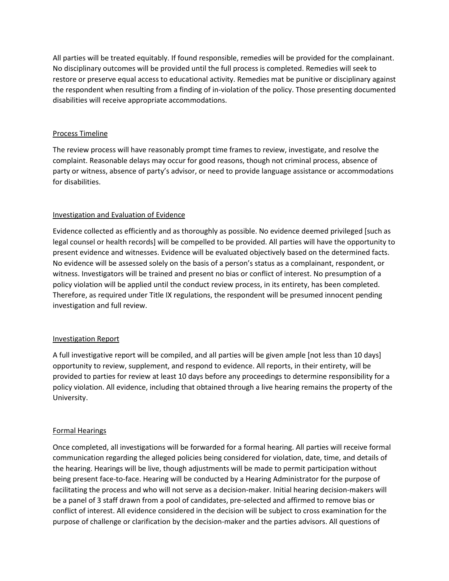All parties will be treated equitably. If found responsible, remedies will be provided for the complainant. No disciplinary outcomes will be provided until the full process is completed. Remedies will seek to restore or preserve equal access to educational activity. Remedies mat be punitive or disciplinary against the respondent when resulting from a finding of in-violation of the policy. Those presenting documented disabilities will receive appropriate accommodations.

## Process Timeline

The review process will have reasonably prompt time frames to review, investigate, and resolve the complaint. Reasonable delays may occur for good reasons, though not criminal process, absence of party or witness, absence of party's advisor, or need to provide language assistance or accommodations for disabilities.

## Investigation and Evaluation of Evidence

Evidence collected as efficiently and as thoroughly as possible. No evidence deemed privileged [such as legal counsel or health records] will be compelled to be provided. All parties will have the opportunity to present evidence and witnesses. Evidence will be evaluated objectively based on the determined facts. No evidence will be assessed solely on the basis of a person's status as a complainant, respondent, or witness. Investigators will be trained and present no bias or conflict of interest. No presumption of a policy violation will be applied until the conduct review process, in its entirety, has been completed. Therefore, as required under Title IX regulations, the respondent will be presumed innocent pending investigation and full review.

## Investigation Report

A full investigative report will be compiled, and all parties will be given ample [not less than 10 days] opportunity to review, supplement, and respond to evidence. All reports, in their entirety, will be provided to parties for review at least 10 days before any proceedings to determine responsibility for a policy violation. All evidence, including that obtained through a live hearing remains the property of the University.

# Formal Hearings

Once completed, all investigations will be forwarded for a formal hearing. All parties will receive formal communication regarding the alleged policies being considered for violation, date, time, and details of the hearing. Hearings will be live, though adjustments will be made to permit participation without being present face-to-face. Hearing will be conducted by a Hearing Administrator for the purpose of facilitating the process and who will not serve as a decision-maker. Initial hearing decision-makers will be a panel of 3 staff drawn from a pool of candidates, pre-selected and affirmed to remove bias or conflict of interest. All evidence considered in the decision will be subject to cross examination for the purpose of challenge or clarification by the decision-maker and the parties advisors. All questions of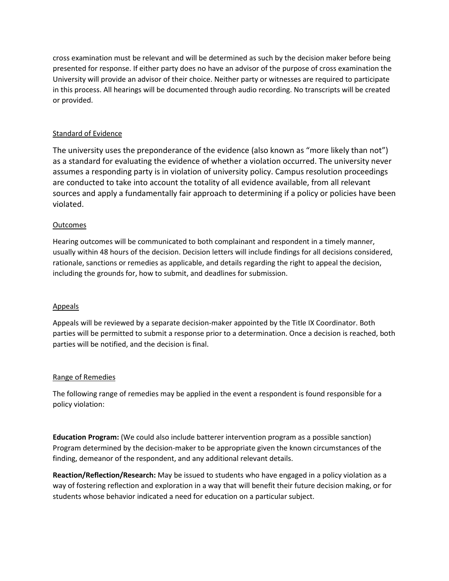cross examination must be relevant and will be determined as such by the decision maker before being presented for response. If either party does no have an advisor of the purpose of cross examination the University will provide an advisor of their choice. Neither party or witnesses are required to participate in this process. All hearings will be documented through audio recording. No transcripts will be created or provided.

# Standard of Evidence

The university uses the preponderance of the evidence (also known as "more likely than not") as a standard for evaluating the evidence of whether a violation occurred. The university never assumes a responding party is in violation of university policy. Campus resolution proceedings are conducted to take into account the totality of all evidence available, from all relevant sources and apply a fundamentally fair approach to determining if a policy or policies have been violated.

## **Outcomes**

Hearing outcomes will be communicated to both complainant and respondent in a timely manner, usually within 48 hours of the decision. Decision letters will include findings for all decisions considered, rationale, sanctions or remedies as applicable, and details regarding the right to appeal the decision, including the grounds for, how to submit, and deadlines for submission.

## Appeals

Appeals will be reviewed by a separate decision-maker appointed by the Title IX Coordinator. Both parties will be permitted to submit a response prior to a determination. Once a decision is reached, both parties will be notified, and the decision is final.

## Range of Remedies

The following range of remedies may be applied in the event a respondent is found responsible for a policy violation:

**Education Program:** (We could also include batterer intervention program as a possible sanction) Program determined by the decision-maker to be appropriate given the known circumstances of the finding, demeanor of the respondent, and any additional relevant details.

**Reaction/Reflection/Research:** May be issued to students who have engaged in a policy violation as a way of fostering reflection and exploration in a way that will benefit their future decision making, or for students whose behavior indicated a need for education on a particular subject.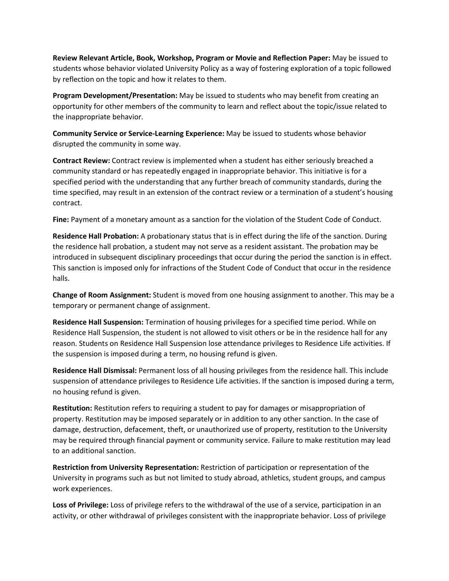**Review Relevant Article, Book, Workshop, Program or Movie and Reflection Paper:** May be issued to students whose behavior violated University Policy as a way of fostering exploration of a topic followed by reflection on the topic and how it relates to them.

**Program Development/Presentation:** May be issued to students who may benefit from creating an opportunity for other members of the community to learn and reflect about the topic/issue related to the inappropriate behavior.

**Community Service or Service-Learning Experience:** May be issued to students whose behavior disrupted the community in some way.

**Contract Review:** Contract review is implemented when a student has either seriously breached a community standard or has repeatedly engaged in inappropriate behavior. This initiative is for a specified period with the understanding that any further breach of community standards, during the time specified, may result in an extension of the contract review or a termination of a student's housing contract.

**Fine:** Payment of a monetary amount as a sanction for the violation of the Student Code of Conduct.

**Residence Hall Probation:** A probationary status that is in effect during the life of the sanction. During the residence hall probation, a student may not serve as a resident assistant. The probation may be introduced in subsequent disciplinary proceedings that occur during the period the sanction is in effect. This sanction is imposed only for infractions of the Student Code of Conduct that occur in the residence halls.

**Change of Room Assignment:** Student is moved from one housing assignment to another. This may be a temporary or permanent change of assignment.

**Residence Hall Suspension:** Termination of housing privileges for a specified time period. While on Residence Hall Suspension, the student is not allowed to visit others or be in the residence hall for any reason. Students on Residence Hall Suspension lose attendance privileges to Residence Life activities. If the suspension is imposed during a term, no housing refund is given.

**Residence Hall Dismissal:** Permanent loss of all housing privileges from the residence hall. This include suspension of attendance privileges to Residence Life activities. If the sanction is imposed during a term, no housing refund is given.

**Restitution:** Restitution refers to requiring a student to pay for damages or misappropriation of property. Restitution may be imposed separately or in addition to any other sanction. In the case of damage, destruction, defacement, theft, or unauthorized use of property, restitution to the University may be required through financial payment or community service. Failure to make restitution may lead to an additional sanction.

**Restriction from University Representation:** Restriction of participation or representation of the University in programs such as but not limited to study abroad, athletics, student groups, and campus work experiences.

**Loss of Privilege:** Loss of privilege refers to the withdrawal of the use of a service, participation in an activity, or other withdrawal of privileges consistent with the inappropriate behavior. Loss of privilege